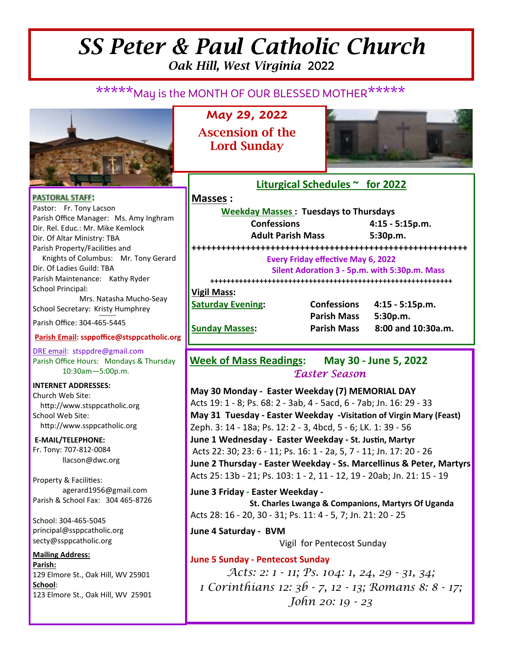# *SS Peter & Paul Catholic Church Oak Hill, West Virginia* 2022

# \*\*\*\*\*May is the MONTH OF OUR BLESSED MOTHER\*\*\*\*\*



**May 29, 2022 Ascension of the Lord Sunday** 



**PASTORAL STAFF:** Pastor: Fr. Tony Lacson Parish Office Manager: Ms. Amy Inghram Dir. Rel. Educ.: Mr. Mike Kemlock Dir. Of Altar Ministry: TBA Parish Property/Facilities and Knights of Columbus: Mr. Tony Gerard Dir. Of Ladies Guild: TBA Parish Maintenance: Kathy Ryder School Principal: Mrs. Natasha Mucho-Seay School Secretary: Kristy Humphrey ∞∞∞∞∞∞

Parish Office: 304-465-5445

#### **Parish Email: ssppoffice@stsppcatholic.org**

DRE email: stsppdre@gmail.com Parish Office Hours: Mondays & Thursday 10:30am—5:00p.m.

**INTERNET ADDRESSES:**  Church Web Site: http://www.stsppcatholic.org School Web Site: http://www.ssppcatholic.org

**E-MAIL/TELEPHONE:**  Fr. Tony: 707-812-0084 llacson@dwc.org

Property & Facilities: agerard1956@gmail.com Parish & School Fax: 304 465-8726

School: 304-465-5045 principal@ssppcatholic.org secty@ssppcatholic.org

#### **Mailing Address: Parish:**  129 Elmore St., Oak Hill, WV 25901 **School**: 123 Elmore St., Oak Hill, WV 25901

**Liturgical Schedules ~ for 2022** 

### **Masses :**

**Weekday Masses : Tuesdays to Thursdays Confessions 4:15 - 5:15p.m. Adult Parish Mass 5:30p.m. ++++++++++++++++++++++++++++++++++++++++++++++++++++++++ Every Friday effective May 6, 2022** Silent Adoration 3 - 5p.m. with 5:30p.m. Mass **+++++++++++++++++++++++++++++++++++++++++++++++++++++++++++ Vigil Mass: Saturday Evening: Confessions 4:15 - 5:15p.m. Parish Mass 5:30p.m. Sunday Masses: Parish Mass 8:00 and 10:30a.m.** 

**Week of Mass Readings: May 30 - June 5, 2022**  *Easter Season* 

**May 30 Monday - Easter Weekday (7) MEMORIAL DAY**  Acts 19: 1 - 8; Ps. 68: 2 - 3ab, 4 - 5acd, 6 - 7ab; Jn. 16: 29 - 33 **May 31 Tuesday - Easter Weekday -Visita7on of Virgin Mary (Feast)** Zeph. 3: 14 - 18a; Ps. 12: 2 - 3, 4bcd, 5 - 6; LK. 1: 39 - 56 **June 1 Wednesday - Easter Weekday - St. Justin, Martyr** Acts 22: 30; 23: 6 - 11; Ps. 16: 1 - 2a, 5, 7 - 11; Jn. 17: 20 - 26 **June 2 Thursday - Easter Weekday - Ss. Marcellinus & Peter, Martyrs** Acts 25: 13b - 21; Ps. 103: 1 - 2, 11 - 12, 19 - 20ab; Jn. 21: 15 - 19

**June 3 Friday - Easter Weekday - St. Charles Lwanga & Companions, Martyrs Of Uganda** Acts 28: 16 - 20, 30 - 31; Ps. 11: 4 - 5, 7; Jn. 21: 20 - 25

**June 4 Saturday - BVM**  Vigil for Pentecost Sunday

**June 5 Sunday - Pentecost Sunday** 

*Acts: 2: 1 - 11; Ps. 104: 1, 24, 29 - 31, 34; 1 Corinthians 12: 3b - 7, 12 - 13; Romans 8: 8 - 17; John 20: 19 - 23*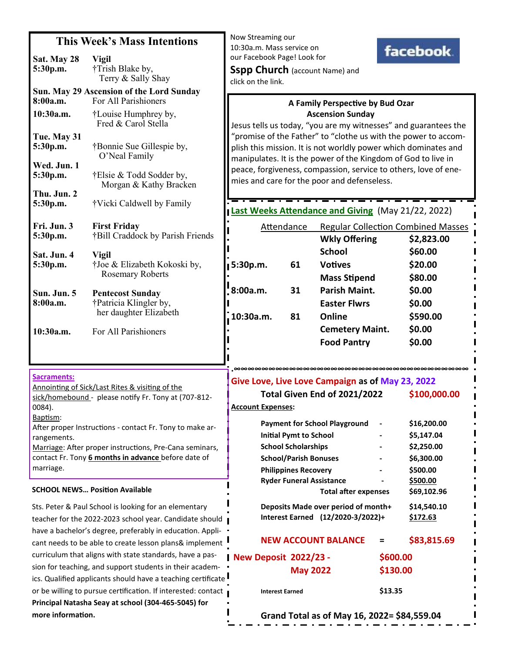## **This Week's Mass Intentions**

| Sat. May 28<br>5:30p.m.                                                                                                                                                                                                        | <b>Vigil</b><br>†Trish Blake by,<br>Terry & Sally Shay                      |  |  |
|--------------------------------------------------------------------------------------------------------------------------------------------------------------------------------------------------------------------------------|-----------------------------------------------------------------------------|--|--|
| Sun. May 29 Ascension of the Lord Sunday<br>8:00a.m.<br>For All Parishioners                                                                                                                                                   |                                                                             |  |  |
| 10:30a.m.                                                                                                                                                                                                                      | †Louise Humphrey by,<br>Fred & Carol Stella                                 |  |  |
| Tue. May 31<br>5:30p.m.                                                                                                                                                                                                        | †Bonnie Sue Gillespie by,<br>O'Neal Family                                  |  |  |
| Wed. Jun. 1<br>5:30p.m.                                                                                                                                                                                                        | †Elsie & Todd Sodder by,<br>Morgan & Kathy Bracken                          |  |  |
| Thu. Jun. 2<br>5:30p.m.                                                                                                                                                                                                        | †Vicki Caldwell by Family                                                   |  |  |
| Fri. Jun. 3<br>5:30p.m.                                                                                                                                                                                                        | <b>First Friday</b><br>†Bill Craddock by Parish Friends                     |  |  |
| Sat. Jun. 4<br>5:30p.m.                                                                                                                                                                                                        | <b>Vigil</b><br>†Joe & Elizabeth Kokoski by,<br><b>Rosemary Roberts</b>     |  |  |
| Sun. Jun. 5<br>8:00a.m.                                                                                                                                                                                                        | <b>Pentecost Sunday</b><br>†Patricia Klingler by,<br>her daughter Elizabeth |  |  |
| 10:30a.m.                                                                                                                                                                                                                      | For All Parishioners                                                        |  |  |
|                                                                                                                                                                                                                                |                                                                             |  |  |
| <b>Sacraments:</b><br>Annointing of Sick/Last Rites & visiting of the<br>sick/homebound - please notify Fr. Tony at (707-812-<br>0084).<br>Baptism:<br>After proper Instructions - contact Fr. Tony to make ar-<br>rangements. |                                                                             |  |  |
| Marriage: After proper instructions, Pre-Cana seminars,<br>contact Fr. Tony 6 months in advance before date of<br>marriage.                                                                                                    |                                                                             |  |  |

### **SCHOOL NEWS... Position Available**

Sts. Peter & Paul School is looking for an elementary teacher for the 2022-2023 school year. Candidate should have a bachelor's degree, preferably in education. Applicant needs to be able to create lesson plans& implement l curriculum that aligns with state standards, have a passion for teaching, and support students in their academics. Qualified applicants should have a teaching certificate I or be willing to pursue certification. If interested: contact **Principal Natasha Seay at school (304-465-5045) for** more information.

Now Streaming our 10:30a.m. Mass service on our Facebook Page! Look for



### **A Family Perspective by Bud Ozar Ascension Sunday**

Jesus tells us today, "you are my witnesses" and guarantees the "promise of the Father" to "clothe us with the power to accomplish this mission. It is not worldly power which dominates and manipulates. It is the power of the Kingdom of God to live in peace, forgiveness, compassion, service to others, love of enemies and care for the poor and defenseless.

**Last Weeks Attendance and Giving** (May 21/22, 2022) Attendance Regular Collection Combined Masses  **Wkly Offering \$2,823.00 School \$60.00 5:30p.m.** 61 Votives \$20.00 **Mass Stipend** \$80.00 **8:00a.m. 31 Parish Maint. \$0.00 Easter Flwrs \$0.00 10:30a.m. 81 Online \$590.00 Cemetery Maint. \$0.00 Food Pantry \$0.00** 

#### **.∞∞∞∞∞∞∞∞∞∞∞∞∞∞∞∞∞∞∞∞∞∞∞∞∞∞∞∞∞∞∞∞∞∞ Give Love, Live Love Campaign as of May 23, 2022**

| Total Given End of 2021/2022                |          | \$100,000.00 |
|---------------------------------------------|----------|--------------|
| <b>Account Expenses:</b>                    |          |              |
| <b>Payment for School Playground</b>        |          | \$16,200.00  |
| <b>Initial Pymt to School</b>               |          | \$5,147.04   |
| <b>School Scholarships</b>                  |          | \$2,250.00   |
| <b>School/Parish Bonuses</b>                |          | \$6,300.00   |
| <b>Philippines Recovery</b>                 |          | \$500.00     |
| <b>Ryder Funeral Assistance</b>             |          | \$500.00     |
| <b>Total after expenses</b>                 |          | \$69,102.96  |
| Deposits Made over period of month+         |          | \$14,540.10  |
| Interest Earned (12/2020-3/2022)+           |          | \$172.63     |
| <b>NEW ACCOUNT BALANCE</b>                  | $\equiv$ | \$83,815.69  |
| <b>New Deposit 2022/23 -</b>                | \$600.00 |              |
| <b>May 2022</b>                             | \$130.00 |              |
| <b>Interest Earned</b>                      | \$13.35  |              |
| Grand Total as of May 16, 2022= \$84,559.04 |          |              |

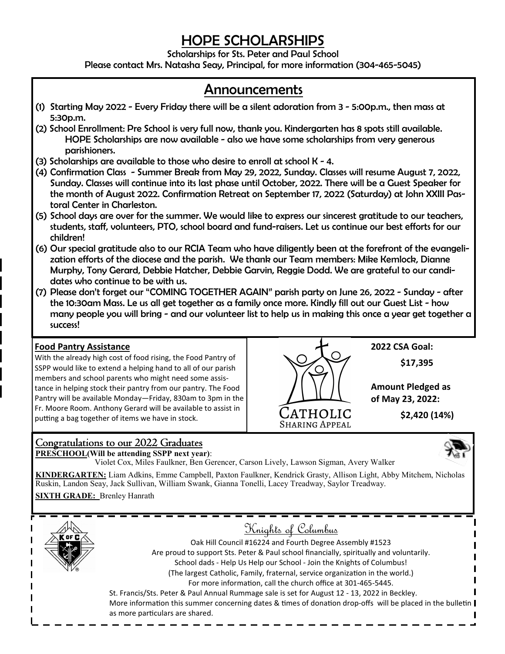# *HOPE SCHOLARSHIPS*

*Scholarships for Sts. Peter and Paul School* 

*Please contact Mrs. Natasha Seay, Principal, for more information (304-465-5045)* 

# *Announcements*

- *(1) Starting May 2022 Every Friday there will be a silent adoration from 3 5:00p.m., then mass at 5:30p.m.*
- *(2) School Enrollment: Pre School is very full now, thank you. Kindergarten has 8 spots still available. HOPE Scholarships are now available - also we have some scholarships from very generous parishioners.*
- *(3) Scholarships are available to those who desire to enroll at school K 4.*
- *(4) Confirmation Class Summer Break from May 29, 2022, Sunday. Classes will resume August 7, 2022, Sunday. Classes will continue into its last phase until October, 2022. There will be a Guest Speaker for the month of August 2022. Confirmation Retreat on September 17, 2022 (Saturday) at John XXIII Pastoral Center in Charleston.*
- *(5) School days are over for the summer. We would like to express our sincerest gratitude to our teachers, students, staff, volunteers, PTO, school board and fund-raisers. Let us continue our best efforts for our children!*
- *(6) Our special gratitude also to our RCIA Team who have diligently been at the forefront of the evangelization efforts of the diocese and the parish. We thank our Team members: Mike Kemlock, Dianne Murphy, Tony Gerard, Debbie Hatcher, Debbie Garvin, Reggie Dodd. We are grateful to our candidates who continue to be with us.*
- *(7) Please don't forget our "COMING TOGETHER AGAIN" parish party on June 26, 2022 Sunday after the 10:30am Mass. Le us all get together as a family once more. Kindly fill out our Guest List - how many people you will bring - and our volunteer list to help us in making this once a year get together a success!*

## **Food Pantry Assistance**

With the already high cost of food rising, the Food Pantry of SSPP would like to extend a helping hand to all of our parish members and school parents who might need some assistance in helping stock their pantry from our pantry. The Food Pantry will be available Monday—Friday, 830am to 3pm in the Fr. Moore Room. Anthony Gerard will be available to assist in putting a bag together of items we have in stock.



**2022 CSA Goal: \$17,395** 

**Amount Pledged as of May 23, 2022:** 

 **\$2,420 (14%)** 

## Congratulations to our 2022 Graduates

**PRESCHOOL(Will be attending SSPP next year)**: Violet Cox, Miles Faulkner, Ben Gerencer, Carson Lively, Lawson Sigman, Avery Walker

**KINDERGARTEN:** Liam Adkins, Emme Campbell, Paxton Faulkner, Kendrick Grasty, Allison Light, Abby Mitchem, Nicholas Ruskin, Landon Seay, Jack Sullivan, William Swank, Gianna Tonelli, Lacey Treadway, Saylor Treadway.

**SIXTH GRADE:** Brenley Hanrath





Oak Hill Council #16224 and Fourth Degree Assembly #1523 Are proud to support Sts. Peter & Paul school financially, spiritually and voluntarily. School dads - Help Us Help our School - Join the Knights of Columbus! (The largest Catholic, Family, fraternal, service organization in the world.) For more information, call the church office at 301-465-5445.

St. Francis/Sts. Peter & Paul Annual Rummage sale is set for August 12 - 13, 2022 in Beckley. More information this summer concerning dates & times of donation drop-offs will be placed in the bulletin  $\|$ as more particulars are shared.